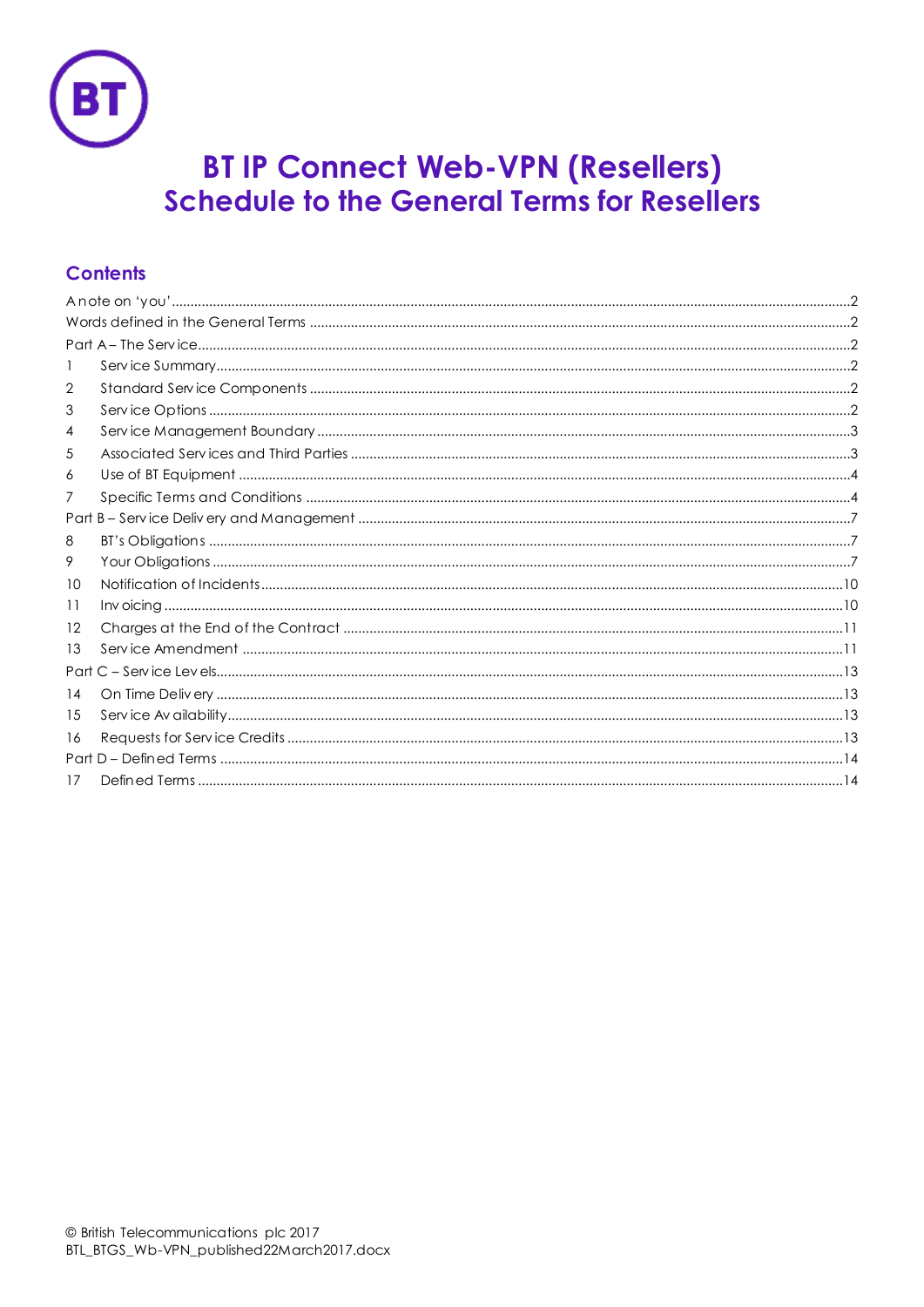

# **BT IP Connect Web-VPN (Resellers)**<br>Schedule to the General Terms for Resellers

# **Contents**

| 2    |  |  |  |  |  |  |
|------|--|--|--|--|--|--|
| 3    |  |  |  |  |  |  |
| 4    |  |  |  |  |  |  |
| 5    |  |  |  |  |  |  |
| 6    |  |  |  |  |  |  |
| 7    |  |  |  |  |  |  |
|      |  |  |  |  |  |  |
| 8    |  |  |  |  |  |  |
| 9    |  |  |  |  |  |  |
| 10   |  |  |  |  |  |  |
| 11   |  |  |  |  |  |  |
| 12   |  |  |  |  |  |  |
| 13   |  |  |  |  |  |  |
| Part |  |  |  |  |  |  |
| 14   |  |  |  |  |  |  |
| 15   |  |  |  |  |  |  |
| 16   |  |  |  |  |  |  |
|      |  |  |  |  |  |  |
| 17   |  |  |  |  |  |  |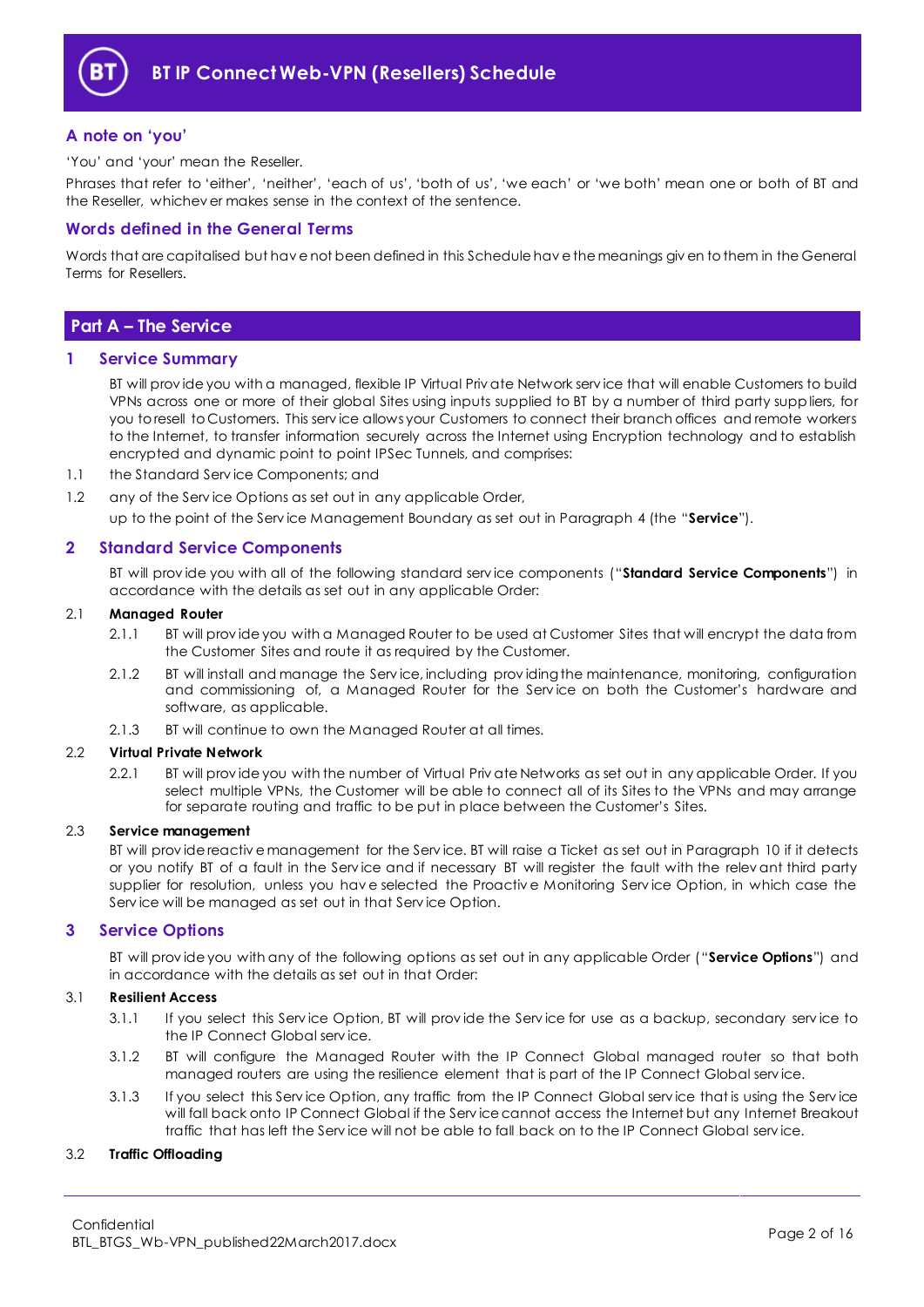

# <span id="page-1-0"></span>**A note on 'you'**

'You' and 'your' mean the Reseller.

Phrases that refer to 'either', 'neither', 'each of us', 'both of us', 'we each' or 'we both' mean one or both of BT and the Reseller, whichev er makes sense in the context of the sentence.

# <span id="page-1-1"></span>**Words defined in the General Terms**

Words that are capitalised but hav e not been defined in this Schedule hav e the meanings giv en to them in the General Terms for Resellers.

# <span id="page-1-2"></span>**Part A – The Service**

## <span id="page-1-3"></span>**1 Service Summary**

BT will prov ide you with a managed, flexible IP Virtual Priv ate Network serv ice that will enable Customers to build VPNs across one or more of their global Sites using inputs supplied to BT by a number of third party suppliers, for you to resell to Customers. This serv ice allows your Customers to connect their branch offices and remote workers to the Internet, to transfer information securely across the Internet using Encryption technology and to establish encrypted and dynamic point to point IPSec Tunnels, and comprises:

- 1.1 the Standard Serv ice Components; and
- 1.2 any of the Service Options as set out in any applicable Order,

up to the point of the Serv ice Management Boundary as set out in Paragraph [4](#page-2-0) (the "**Service**").

# <span id="page-1-4"></span>**2 Standard Service Components**

BT will prov ide you with all of the following standard serv ice components ("**Standard Service Components**") in accordance with the details as set out in any applicable Order:

## 2.1 **Managed Router**

- 2.1.1 BT will prov ide you with a Managed Router to be used at Customer Sites that will encrypt the data from the Customer Sites and route it as required by the Customer.
- 2.1.2 BT will install and manage the Serv ice, including prov iding the maintenance, monitoring, configuration and commissioning of, a Managed Router for the Serv ice on both the Customer's hardware and software, as applicable.
- 2.1.3 BT will continue to own the Managed Router at all times.

## 2.2 **Virtual Private Network**

2.2.1 BT will prov ide you with the number of Virtual Priv ate Networks as set out in any applicable Order. If you select multiple VPNs, the Customer will be able to connect all of its Sites to the VPNs and may arrange for separate routing and traffic to be put in place between the Customer's Sites.

## 2.3 **Service management**

BT will prov ide reactiv e management for the Serv ice. BT will raise a Ticket as set out in Paragraph [10](#page-9-0) if it detects or you notify BT of a fault in the Serv ice and if necessary BT will register the fault with the relev ant third party supplier for resolution, unless you hav e selected the Proactiv e Monitoring Serv ice Option, in which case the Serv ice will be managed as set out in that Serv ice Option.

## <span id="page-1-5"></span>**3 Service Options**

BT will prov ide you with any of the following options as set out in any applicable Order ("**Service Options**") and in accordance with the details as set out in that Order:

## 3.1 **Resilient Access**

- 3.1.1 If you select this Service Option, BT will provide the Service for use as a backup, secondary service to the IP Connect Global serv ice.
- 3.1.2 BT will configure the Managed Router with the IP Connect Global managed router so that both managed routers are using the resilience element that is part of the IP Connect Global serv ice.
- 3.1.3 If you select this Serv ice Option, any traffic from the IP Connect Global serv ice that is using the Serv ice will fall back onto IP Connect Global if the Serv ice cannot access the Internet but any Internet Breakout traffic that has left the Serv ice will not be able to fall back on to the IP Connect Global serv ice.

## 3.2 **Traffic Offloading**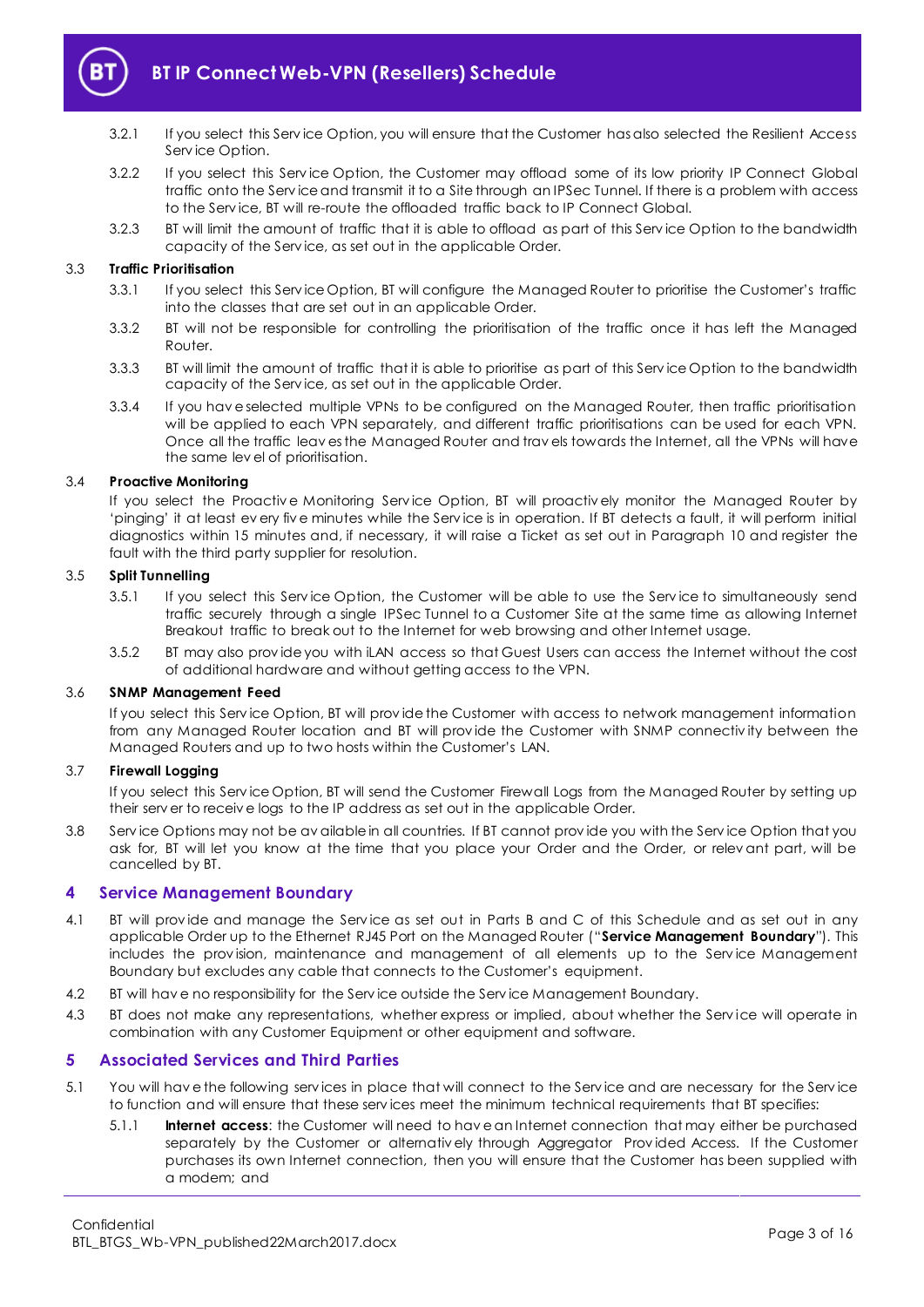

- 3.2.1 If you select this Serv ice Option, you will ensure that the Customer has also selected the Resilient Access Serv ice Option.
- 3.2.2 If you select this Serv ice Option, the Customer may offload some of its low priority IP Connect Global traffic onto the Serv ice and transmit it to a Site through an IPSec Tunnel. If there is a problem with access to the Serv ice, BT will re-route the offloaded traffic back to IP Connect Global.
- 3.2.3 BT will limit the amount of traffic that it is able to offload as part of this Serv ice Option to the bandwidth capacity of the Serv ice, as set out in the applicable Order.

## 3.3 **Traffic Prioritisation**

- 3.3.1 If you select this Serv ice Option, BT will configure the Managed Router to prioritise the Customer's traffic into the classes that are set out in an applicable Order.
- 3.3.2 BT will not be responsible for controlling the prioritisation of the traffic once it has left the Managed Router.
- 3.3.3 BT will limit the amount of traffic that it is able to prioritise as part of this Serv ice Option to the bandwidth capacity of the Serv ice, as set out in the applicable Order.
- 3.3.4 If you hav e selected multiple VPNs to be configured on the Managed Router, then traffic prioritisation will be applied to each VPN separately, and different traffic prioritisations can be used for each VPN. Once all the traffic leav es the Managed Router and trav els towards the Internet, all the VPNs will have the same lev el of prioritisation.

## 3.4 **Proactive Monitoring**

If you select the Proactiv e Monitoring Serv ice Option, BT will proactiv ely monitor the Managed Router by 'pinging' it at least ev ery fiv e minutes while the Serv ice is in operation. If BT detects a fault, it will perform initial diagnostics within 15 minutes and, if necessary, it will raise a Ticket as set out in Paragraph [10](#page-9-0) and register the fault with the third party supplier for resolution.

## 3.5 **Split Tunnelling**

- 3.5.1 If you select this Serv ice Option, the Customer will be able to use the Serv ice to simultaneously send traffic securely through a single IPSec Tunnel to a Customer Site at the same time as allowing Internet Breakout traffic to break out to the Internet for web browsing and other Internet usage.
- 3.5.2 BT may also prov ide you with iLAN access so that Guest Users can access the Internet without the cost of additional hardware and without getting access to the VPN.

## 3.6 **SNMP Management Feed**

If you select this Serv ice Option, BT will prov ide the Customer with access to network management information from any Managed Router location and BT will prov ide the Customer with SNMP connectiv ity between the Managed Routers and up to two hosts within the Customer's LAN.

## 3.7 **Firewall Logging**

If you select this Serv ice Option, BT will send the Customer Firewall Logs from the Managed Router by setting up their serv er to receiv e logs to the IP address as set out in the applicable Order.

3.8 Serv ice Options may not be av ailable in all countries. If BT cannot prov ide you with the Serv ice Option that you ask for, BT will let you know at the time that you place your Order and the Order, or relev ant part, will be cancelled by BT.

## <span id="page-2-0"></span>**4 Service Management Boundary**

- <span id="page-2-2"></span>4.1 BT will prov ide and manage the Serv ice as set out in Parts B and C of this Schedule and as set out in any applicable Order up to the Ethernet RJ45 Port on the Managed Router ("**Service Management Boundary**"). This includes the prov ision, maintenance and management of all elements up to the Serv ice Management Boundary but excludes any cable that connects to the Customer's equipment.
- 4.2 BT will hav e no responsibility for the Serv ice outside the Serv ice Management Boundary.
- 4.3 BT does not make any representations, whether express or implied, about whether the Service will operate in combination with any Customer Equipment or other equipment and software.

## <span id="page-2-1"></span>**5 Associated Services and Third Parties**

- 5.1 You will hav e the following serv ices in place that will connect to the Serv ice and are necessary for the Serv ice to function and will ensure that these serv ices meet the minimum technical requirements that BT specifies:
	- 5.1.1 **Internet access**: the Customer will need to hav e an Internet connection that may either be purchased separately by the Customer or alternativ ely through Aggregator Prov ided Access. If the Customer purchases its own Internet connection, then you will ensure that the Customer has been supplied with a modem; and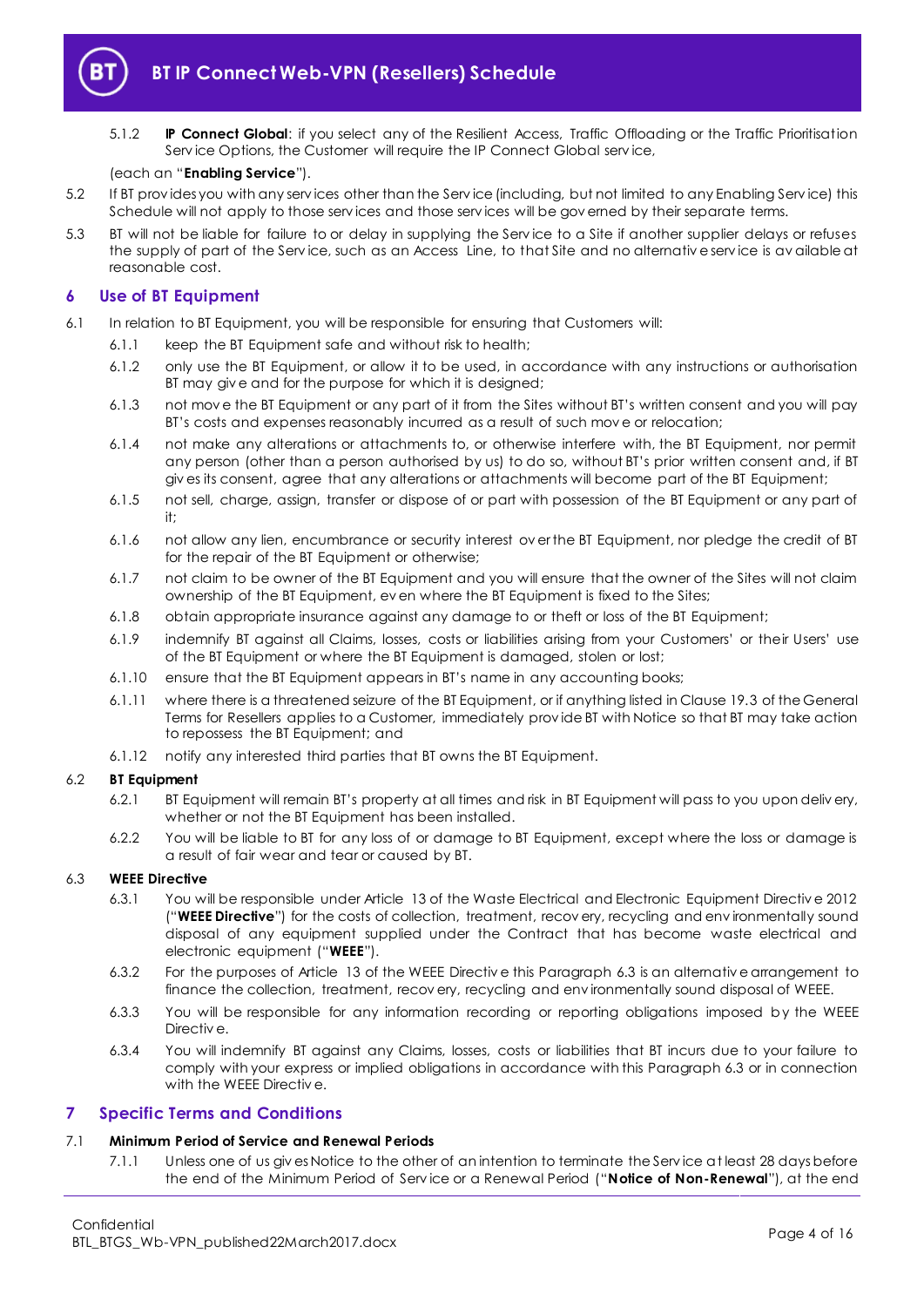

5.1.2 **IP Connect Global**: if you select any of the Resilient Access, Traffic Offloading or the Traffic Prioritisation Serv ice Options, the Customer will require the IP Connect Global serv ice,

## (each an "**Enabling Service**").

- 5.2 If BT prov ides you with any serv ices other than the Serv ice (including, but not limited to any Enabling Serv ice) this Schedule will not apply to those services and those services will be governed by their separate terms.
- 5.3 BT will not be liable for failure to or delay in supplying the Serv ice to a Site if another supplier delays or refuses the supply of part of the Serv ice, such as an Access Line, to that Site and no alternativ e serv ice is av ailable at reasonable cost.

# <span id="page-3-0"></span>**6 Use of BT Equipment**

- 6.1 In relation to BT Equipment, you will be responsible for ensuring that Customers will:
	- 6.1.1 keep the BT Equipment safe and without risk to health;
		- 6.1.2 only use the BT Equipment, or allow it to be used, in accordance with any instructions or authorisation BT may giv e and for the purpose for which it is designed;
		- 6.1.3 not mov e the BT Equipment or any part of it from the Sites without BT's written consent and you will pay BT's costs and expenses reasonably incurred as a result of such mov e or relocation;
		- 6.1.4 not make any alterations or attachments to, or otherwise interfere with, the BT Equipment, nor permit any person (other than a person authorised by us) to do so, without BT's prior written consent and, if BT giv es its consent, agree that any alterations or attachments will become part of the BT Equipment;
		- 6.1.5 not sell, charge, assign, transfer or dispose of or part with possession of the BT Equipment or any part of it;
		- 6.1.6 not allow any lien, encumbrance or security interest ov er the BT Equipment, nor pledge the credit of BT for the repair of the BT Equipment or otherwise;
		- 6.1.7 not claim to be owner of the BT Equipment and you will ensure that the owner of the Sites will not claim ownership of the BT Equipment, ev en where the BT Equipment is fixed to the Sites;
		- 6.1.8 obtain appropriate insurance against any damage to or theft or loss of the BT Equipment;
		- 6.1.9 indemnify BT against all Claims, losses, costs or liabilities arising from your Customers' or their Users' use of the BT Equipment or where the BT Equipment is damaged, stolen or lost;
		- 6.1.10 ensure that the BT Equipment appears in BT's name in any accounting books;
		- 6.1.11 where there is a threatened seizure of the BT Equipment, or if anything listed in Clause 19.3 of the General Terms for Resellers applies to a Customer, immediately prov ide BT with Notice so that BT may take action to repossess the BT Equipment; and
		- 6.1.12 notify any interested third parties that BT owns the BT Equipment.

## 6.2 **BT Equipment**

- 6.2.1 BT Equipment will remain BT's property at all times and risk in BT Equipment will pass to you upon deliv ery, whether or not the BT Equipment has been installed.
- 6.2.2 You will be liable to BT for any loss of or damage to BT Equipment, except where the loss or damage is a result of fair wear and tear or caused by BT.

## <span id="page-3-4"></span><span id="page-3-2"></span>6.3 **WEEE Directive**

- 6.3.1 You will be responsible under Article 13 of the Waste Electrical and Electronic Equipment Directiv e 2012 ("**WEEE Directive**") for the costs of collection, treatment, recov ery, recycling and env ironmentally sound disposal of any equipment supplied under the Contract that has become waste electrical and electronic equipment ("**WEEE**").
- 6.3.2 For the purposes of Article 13 of the WEEE Directiv e this Paragrap[h 6.3](#page-3-2) is an alternativ e arrangement to finance the collection, treatment, recov ery, recycling and env ironmentally sound disposal of WEEE.
- 6.3.3 You will be responsible for any information recording or reporting obligations imposed by the WEEE Directiv e.
- 6.3.4 You will indemnify BT against any Claims, losses, costs or liabilities that BT incurs due to your failure to comply with your express or implied obligations in accordance with this Paragrap[h 6.3](#page-3-2) or in connection with the WEEE Directiv e.

## <span id="page-3-1"></span>**7 Specific Terms and Conditions**

## <span id="page-3-3"></span>7.1 **Minimum Period of Service and Renewal Periods**

7.1.1 Unless one of us giv es Notice to the other of an intention to terminate the Serv ice at least 28 days before the end of the Minimum Period of Serv ice or a Renewal Period ("**Notice of Non-Renewal**"), at the end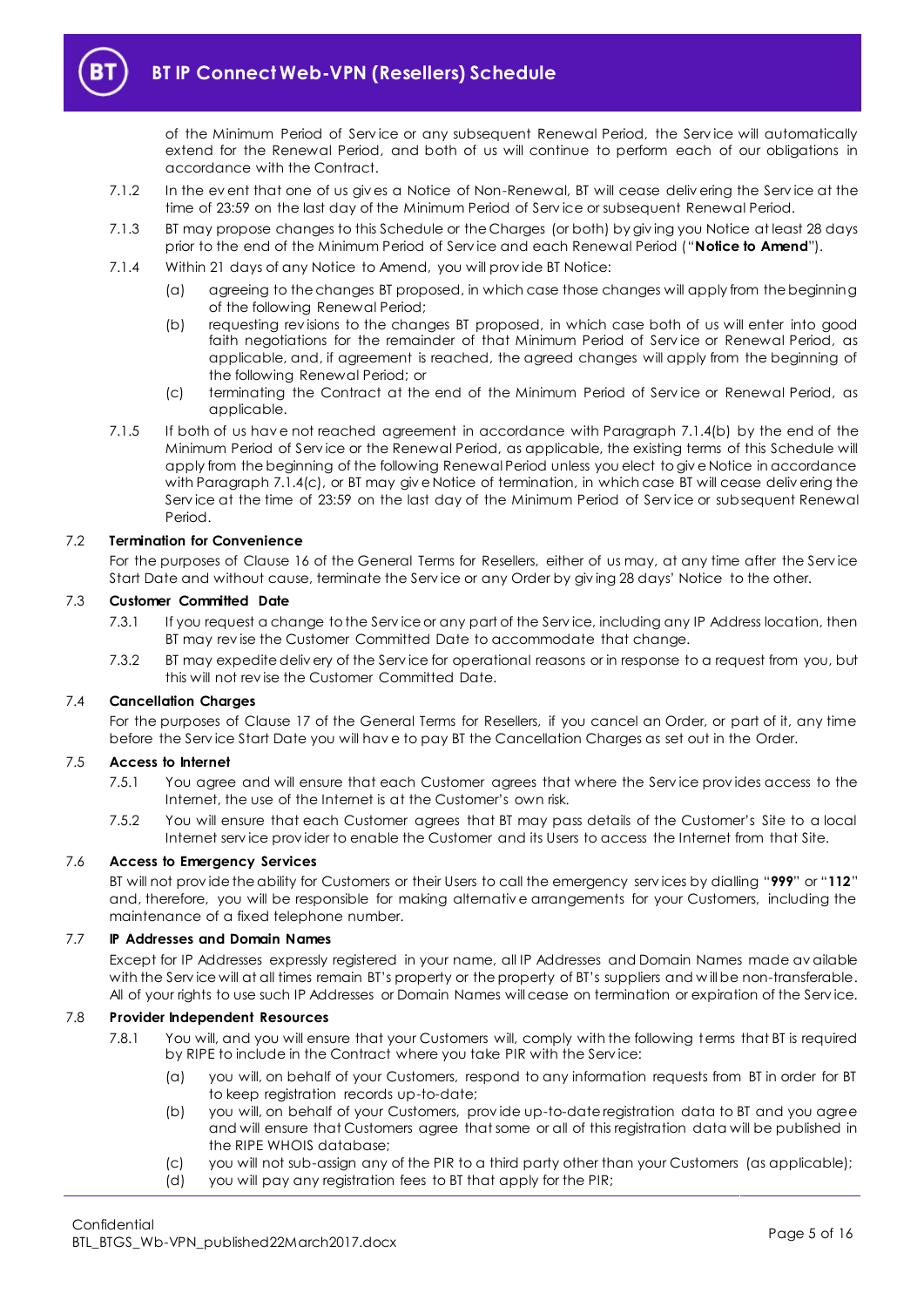

of the Minimum Period of Serv ice or any subsequent Renewal Period, the Serv ice will automatically extend for the Renewal Period, and both of us will continue to perform each of our obligations in accordance with the Contract.

- 7.1.2 In the ev ent that one of us giv es a Notice of Non-Renewal, BT will cease deliv ering the Serv ice at the time of 23:59 on the last day of the Minimum Period of Serv ice or subsequent Renewal Period.
- <span id="page-4-2"></span>7.1.3 BT may propose changes to this Schedule or the Charges (or both) by giv ing you Notice at least 28 days prior to the end of the Minimum Period of Serv ice and each Renewal Period ("**Notice to Amend**").
- <span id="page-4-0"></span>7.1.4 Within 21 days of any Notice to Amend, you will prov ide BT Notice:
	- (a) agreeing to the changes BT proposed, in which case those changes will apply from the beginning of the following Renewal Period;
	- (b) requesting rev isions to the changes BT proposed, in which case both of us will enter into good faith negotiations for the remainder of that Minimum Period of Service or Renewal Period, as applicable, and, if agreement is reached, the agreed changes will apply from the beginning of the following Renewal Period; or
	- (c) terminating the Contract at the end of the Minimum Period of Serv ice or Renewal Period, as applicable.
- <span id="page-4-1"></span>7.1.5 If both of us hav e not reached agreement in accordance with Paragraph [7.1.4\(b\)](#page-4-0) by the end of the Minimum Period of Serv ice or the Renewal Period, as applicable, the existing terms of this Schedule will apply from the beginning of the following Renewal Period unless you elect to giv e Notice in accordance with Paragraph [7.1.4\(c\),](#page-4-1) or BT may give Notice of termination, in which case BT will cease delivering the Serv ice at the time of 23:59 on the last day of the Minimum Period of Serv ice or subsequent Renewal Period.

## 7.2 **Termination for Convenience**

For the purposes of Clause 16 of the General Terms for Resellers, either of us may, at any time after the Serv ice Start Date and without cause, terminate the Serv ice or any Order by giv ing 28 days' Notice to the other.

## 7.3 **Customer Committed Date**

- 7.3.1 If you request a change to the Serv ice or any part of the Serv ice, including any IP Address location, then BT may rev ise the Customer Committed Date to accommodate that change.
- 7.3.2 BT may expedite deliv ery of the Serv ice for operational reasons or in response to a request from you, but this will not rev ise the Customer Committed Date.

## 7.4 **Cancellation Charges**

For the purposes of Clause 17 of the General Terms for Resellers, if you cancel an Order, or part of it, any time before the Serv ice Start Date you will hav e to pay BT the Cancellation Charges as set out in the Order.

#### 7.5 **Access to Internet**

- 7.5.1 You agree and will ensure that each Customer agrees that where the Serv ice prov ides access to the Internet, the use of the Internet is at the Customer's own risk.
- 7.5.2 You will ensure that each Customer agrees that BT may pass details of the Customer's Site to a local Internet serv ice prov ider to enable the Customer and its Users to access the Internet from that Site.

#### 7.6 **Access to Emergency Services**

BT will not prov ide the ability for Customers or their Users to call the emergency serv ices by dialling "**999**" or "**112**" and, therefore, you will be responsible for making alternativ e arrangements for your Customers, including the maintenance of a fixed telephone number.

#### 7.7 **IP Addresses and Domain Names**

Except for IP Addresses expressly registered in your name, all IP Addresses and Domain Names made av ailable with the Serv ice will at all times remain BT's property or the property of BT's suppliers and w ill be non-transferable. All of your rights to use such IP Addresses or Domain Names will cease on termination or expiration of the Serv ice.

## 7.8 **Provider Independent Resources**

- 7.8.1 You will, and you will ensure that your Customers will, comply with the following terms that BT is required by RIPE to include in the Contract where you take PIR with the Serv ice:
	- (a) you will, on behalf of your Customers, respond to any information requests from BT in order for BT to keep registration records up-to-date;
	- (b) you will, on behalf of your Customers, prov ide up-to-date registration data to BT and you agree and will ensure that Customers agree that some or all of this registration data will be published in the RIPE WHOIS database;
	- (c) you will not sub-assign any of the PIR to a third party other than your Customers (as applicable);
	- (d) you will pay any registration fees to BT that apply for the PIR;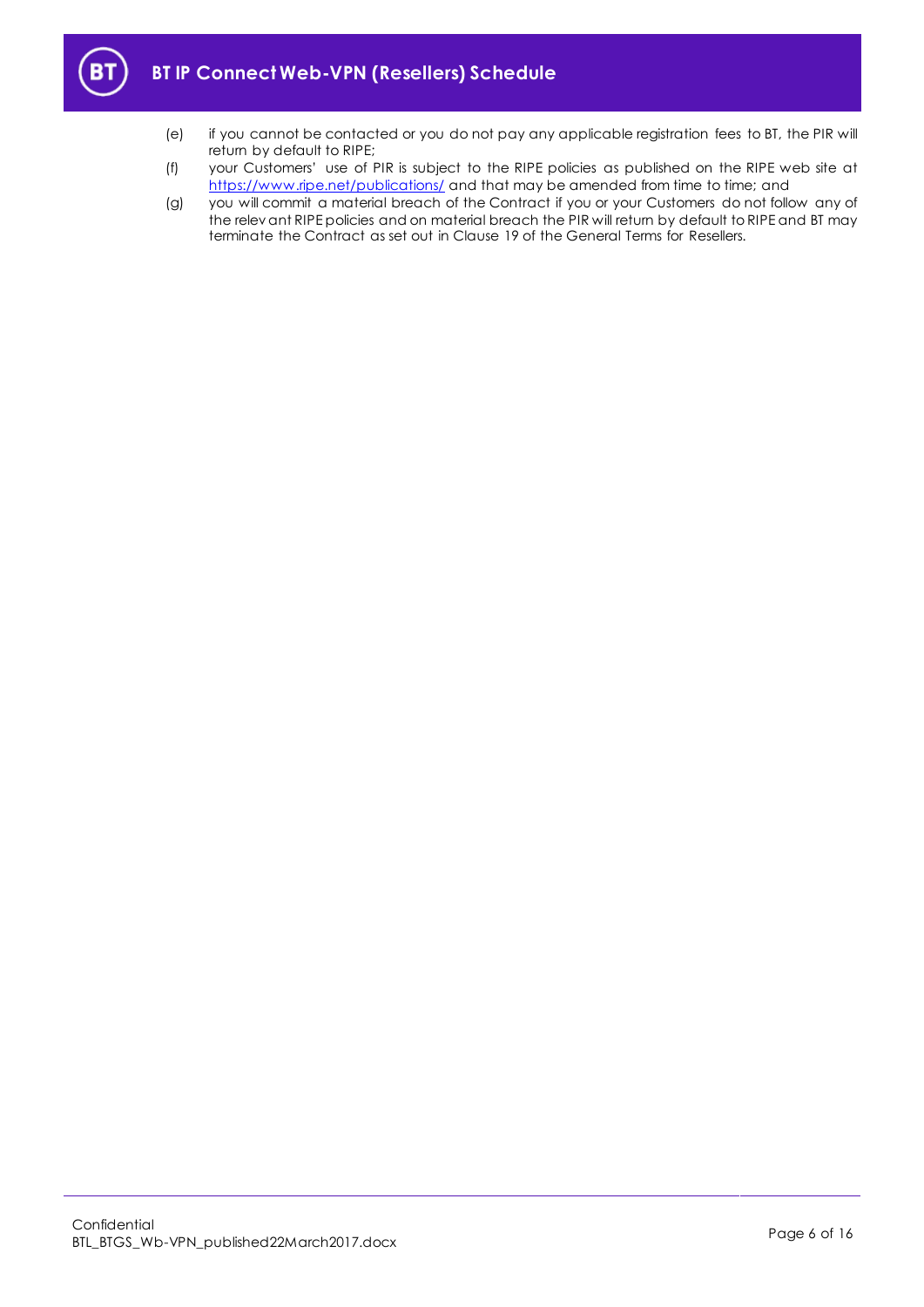

- (e) if you cannot be contacted or you do not pay any applicable registration fees to BT, the PIR will return by default to RIPE;
- (f) your Customers' use of PIR is subject to the RIPE policies as published on the RIPE web site at <https://www.ripe.net/publications/> and that may be amended from time to time; and
- (g) you will commit a material breach of the Contract if you or your Customers do not follow any of the relev ant RIPE policies and on material breach the PIR will return by default to RIPE and BT may terminate the Contract as set out in Clause 19 of the General Terms for Resellers.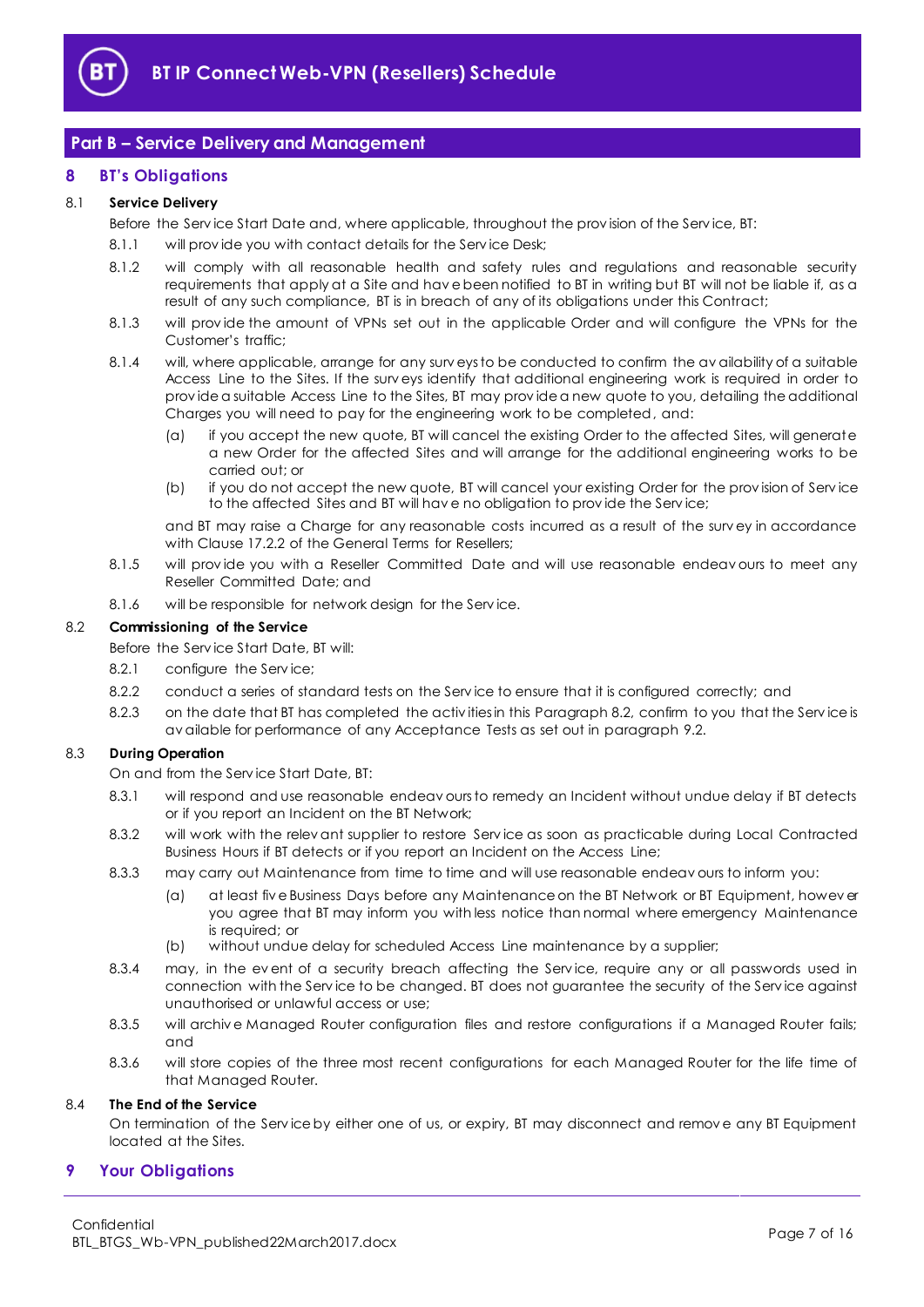

# <span id="page-6-0"></span>**Part B – Service Delivery and Management**

# <span id="page-6-1"></span>**8 BT's Obligations**

## 8.1 **Service Delivery**

Before the Serv ice Start Date and, where applicable, throughout the prov ision of the Serv ice, BT:

- 8.1.1 will provide you with contact details for the Service Desk;
- 8.1.2 will comply with all reasonable health and safety rules and regulations and reasonable security requirements that apply at a Site and hav e been notified to BT in writing but BT will not be liable if, as a result of any such compliance, BT is in breach of any of its obligations under this Contract;
- 8.1.3 will prov ide the amount of VPNs set out in the applicable Order and will configure the VPNs for the Customer's traffic;
- 8.1.4 will, where applicable, arrange for any surv eys to be conducted to confirm the av ailability of a suitable Access Line to the Sites. If the surv eys identify that additional engineering work is required in order to prov ide a suitable Access Line to the Sites, BT may prov ide a new quote to you, detailing the additional Charges you will need to pay for the engineering work to be completed, and:
	- (a) if you accept the new quote, BT will cancel the existing Order to the affected Sites, will generate a new Order for the affected Sites and will arrange for the additional engineering works to be carried out; or
	- (b) if you do not accept the new quote, BT will cancel your existing Order for the prov ision of Serv ice to the affected Sites and BT will hav e no obligation to prov ide the Serv ice;

and BT may raise a Charge for any reasonable costs incurred as a result of the surv ey in accordance with Clause 17.2.2 of the General Terms for Resellers;

- 8.1.5 will provide you with a Reseller Committed Date and will use reasonable endeav ours to meet any Reseller Committed Date; and
- 8.1.6 will be responsible for network design for the Serv ice.

## <span id="page-6-3"></span>8.2 **Commissioning of the Service**

- Before the Serv ice Start Date, BT will:
- 8.2.1 configure the Service;
- 8.2.2 conduct a series of standard tests on the Serv ice to ensure that it is configured correctly; and
- 8.2.3 on the date that BT has completed the activities in this Paragrap[h 8.2,](#page-6-3) confirm to you that the Service is av ailable for performance of any Acceptance Tests as set out in paragrap[h 9.2.](#page-8-0)

## <span id="page-6-5"></span><span id="page-6-4"></span>8.3 **During Operation**

On and from the Serv ice Start Date, BT:

- 8.3.1 will respond and use reasonable endeav ours to remedy an Incident without undue delay if BT detects or if you report an Incident on the BT Network;
- <span id="page-6-6"></span>8.3.2 will work with the relev ant supplier to restore Serv ice as soon as practicable during Local Contracted Business Hours if BT detects or if you report an Incident on the Access Line;
- 8.3.3 may carry out Maintenance from time to time and will use reasonable endeav ours to inform you:
	- (a) at least fiv e Business Days before any Maintenance on the BT Network or BT Equipment, howev er you agree that BT may inform you with less notice than normal where emergency Maintenance is required; or
	- (b) without undue delay for scheduled Access Line maintenance by a supplier;
- 8.3.4 may, in the event of a security breach affecting the Service, require any or all passwords used in connection with the Serv ice to be changed. BT does not guarantee the security of the Serv ice against unauthorised or unlawful access or use;
- 8.3.5 will archive Managed Router configuration files and restore configurations if a Managed Router fails; and
- 8.3.6 will store copies of the three most recent configurations for each Managed Router for the life time of that Managed Router.

#### 8.4 **The End of the Service**

On termination of the Serv ice by either one of us, or expiry, BT may disconnect and remov e any BT Equipment located at the Sites.

# <span id="page-6-2"></span>**9 Your Obligations**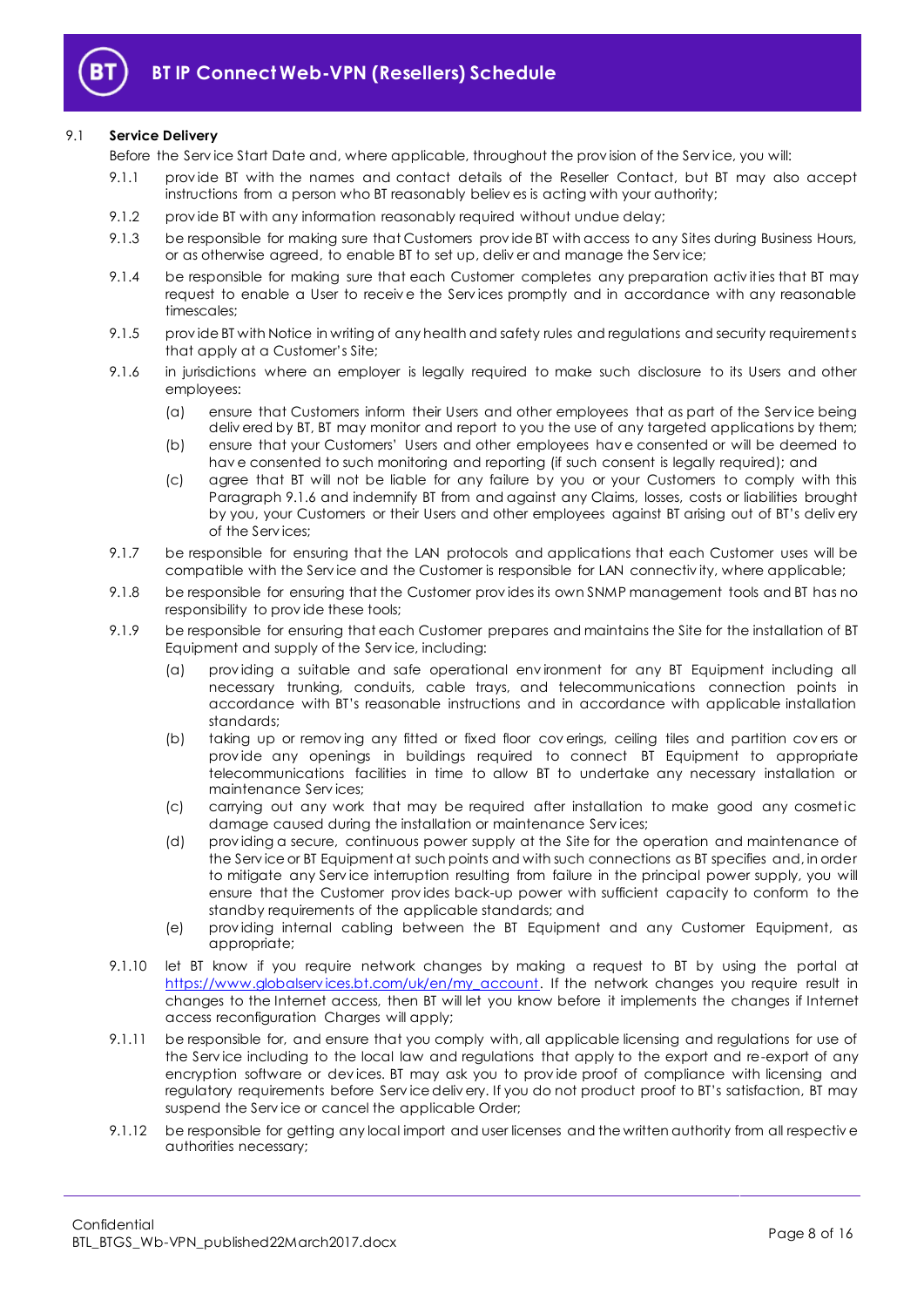

## 9.1 **Service Delivery**

Before the Serv ice Start Date and, where applicable, throughout the prov ision of the Serv ice, you will:

- 9.1.1 prov ide BT with the names and contact details of the Reseller Contact, but BT may also accept instructions from a person who BT reasonably believ es is acting with your authority;
- 9.1.2 prov ide BT with any information reasonably required without undue delay;
- 9.1.3 be responsible for making sure that Customers prov ide BT with access to any Sites during Business Hours, or as otherwise agreed, to enable BT to set up, deliv er and manage the Serv ice;
- 9.1.4 be responsible for making sure that each Customer completes any preparation activities that BT may request to enable a User to receiv e the Serv ices promptly and in accordance with any reasonable timescales;
- 9.1.5 prov ide BT with Notice in writing of any health and safety rules and regulations and security requirements that apply at a Customer's Site;
- <span id="page-7-0"></span>9.1.6 in jurisdictions where an employer is legally required to make such disclosure to its Users and other employees:
	- (a) ensure that Customers inform their Users and other employees that as part of the Serv ice being deliv ered by BT, BT may monitor and report to you the use of any targeted applications by them;
	- (b) ensure that your Customers' Users and other employees hav e consented or will be deemed to hav e consented to such monitoring and reporting (if such consent is legally required); and
	- (c) agree that BT will not be liable for any failure by you or your Customers to comply with this Paragraph [9.1.6](#page-7-0) and indemnify BT from and against any Claims, losses, costs or liabilities brought by you, your Customers or their Users and other employees against BT arising out of BT's deliv ery of the Serv ices;
- 9.1.7 be responsible for ensuring that the LAN protocols and applications that each Customer uses will be compatible with the Serv ice and the Customer is responsible for LAN connectiv ity, where applicable;
- 9.1.8 be responsible for ensuring that the Customer prov ides its own SNMP management tools and BT has no responsibility to prov ide these tools;
- 9.1.9 be responsible for ensuring that each Customer prepares and maintains the Site for the installation of BT Equipment and supply of the Serv ice, including:
	- (a) prov iding a suitable and safe operational env ironment for any BT Equipment including all necessary trunking, conduits, cable trays, and telecommunications connection points in accordance with BT's reasonable instructions and in accordance with applicable installation standards;
	- (b) taking up or remov ing any fitted or fixed floor cov erings, ceiling tiles and partition cov ers or prov ide any openings in buildings required to connect BT Equipment to appropriate telecommunications facilities in time to allow BT to undertake any necessary installation or maintenance Serv ices;
	- (c) carrying out any work that may be required after installation to make good any cosmetic damage caused during the installation or maintenance Serv ices;
	- (d) prov iding a secure, continuous power supply at the Site for the operation and maintenance of the Serv ice or BT Equipment at such points and with such connections as BT specifies and, in order to mitigate any Serv ice interruption resulting from failure in the principal power supply, you will ensure that the Customer prov ides back-up power with sufficient capacity to conform to the standby requirements of the applicable standards; and
	- (e) prov iding internal cabling between the BT Equipment and any Customer Equipment, as appropriate;
- 9.1.10 let BT know if you require network changes by making a request to BT by using the portal at https://www.globalservices.bt.com/uk/en/my\_account. If the network changes you require result in changes to the Internet access, then BT will let you know before it implements the changes if Internet access reconfiguration Charges will apply;
- 9.1.11 be responsible for, and ensure that you comply with, all applicable licensing and regulations for use of the Serv ice including to the local law and regulations that apply to the export and re-export of any encryption software or dev ices. BT may ask you to prov ide proof of compliance with licensing and regulatory requirements before Serv ice deliv ery. If you do not product proof to BT's satisfaction, BT may suspend the Serv ice or cancel the applicable Order;
- 9.1.12 be responsible for getting any local import and user licenses and the written authority from all respective authorities necessary;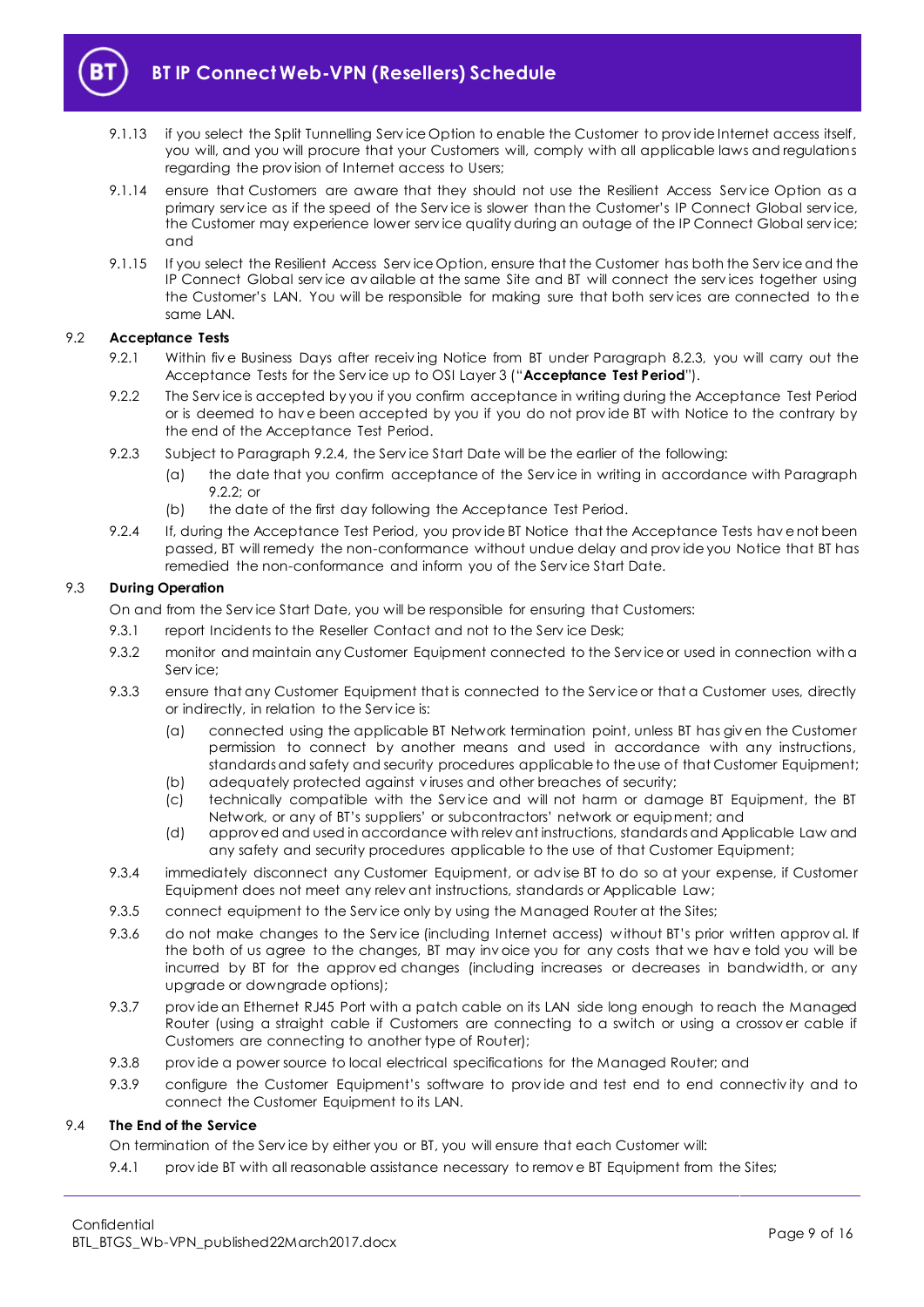

# **BT IP Connect Web-VPN (Resellers) Schedule**

- 9.1.13 if you select the Split Tunnelling Serv ice Option to enable the Customer to prov ide Internet access itself, you will, and you will procure that your Customers will, comply with all applicable laws and regulations regarding the prov ision of Internet access to Users;
- 9.1.14 ensure that Customers are aware that they should not use the Resilient Access Service Option as a primary serv ice as if the speed of the Serv ice is slower than the Customer's IP Connect Global serv ice, the Customer may experience lower serv ice quality during an outage of the IP Connect Global serv ice; and
- 9.1.15 If you select the Resilient Access Service Option, ensure that the Customer has both the Service and the IP Connect Global serv ice av ailable at the same Site and BT will connect the serv ices together using the Customer's LAN. You will be responsible for making sure that both serv ices are connected to the same LAN.

## <span id="page-8-3"></span><span id="page-8-0"></span>9.2 **Acceptance Tests**

- 9.2.1 Within five Business Days after receiving Notice from BT under Paragraph [8.2.3,](#page-6-4) you will carry out the Acceptance Tests for the Serv ice up to OSI Layer 3 ("**Acceptance Test Period**").
- <span id="page-8-2"></span>9.2.2 The Serv ice is accepted by you if you confirm acceptance in writing during the Acceptance Test Period or is deemed to hav e been accepted by you if you do not prov ide BT with Notice to the contrary by the end of the Acceptance Test Period.
- 9.2.3 Subject to Paragraph [9.2.4,](#page-8-1) the Serv ice Start Date will be the earlier of the following:
	- (a) the date that you confirm acceptance of the Serv ice in writing in accordance with Paragraph [9.2.2;](#page-8-2) or
	- (b) the date of the first day following the Acceptance Test Period.
- <span id="page-8-1"></span>9.2.4 If, during the Acceptance Test Period, you prov ide BT Notice that the Acceptance Tests hav e not been passed, BT will remedy the non-conformance without undue delay and prov ide you Notice that BT has remedied the non-conformance and inform you of the Serv ice Start Date.

## 9.3 **During Operation**

On and from the Serv ice Start Date, you will be responsible for ensuring that Customers:

- 9.3.1 report Incidents to the Reseller Contact and not to the Serv ice Desk;
- 9.3.2 monitor and maintain any Customer Equipment connected to the Service or used in connection with a Serv ice;
- 9.3.3 ensure that any Customer Equipment that is connected to the Serv ice or that a Customer uses, directly or indirectly, in relation to the Serv ice is:
	- (a) connected using the applicable BT Network termination point, unless BT has giv en the Customer permission to connect by another means and used in accordance with any instructions, standards and safety and security procedures applicable to the use of that Customer Equipment; (b) adequately protected against v iruses and other breaches of security;
	- (c) technically compatible with the Serv ice and will not harm or damage BT Equipment, the BT Network, or any of BT's suppliers' or subcontractors' network or equipment; and
	- (d) approv ed and used in accordance with relev ant instructions, standards and Applicable Law and any safety and security procedures applicable to the use of that Customer Equipment;
- 9.3.4 immediately disconnect any Customer Equipment, or adv ise BT to do so at your expense, if Customer Equipment does not meet any relev ant instructions, standards or Applicable Law;
- 9.3.5 connect equipment to the Service only by using the Managed Router at the Sites:
- 9.3.6 do not make changes to the Service (including Internet access) without BT's prior written approval. If the both of us agree to the changes, BT may inv oice you for any costs that we hav e told you will be incurred by BT for the approv ed changes (including increases or decreases in bandwidth, or any upgrade or downgrade options);
- 9.3.7 prov ide an Ethernet RJ45 Port with a patch cable on its LAN side long enough to reach the Managed Router (using a straight cable if Customers are connecting to a switch or using a crossov er cable if Customers are connecting to another type of Router);
- 9.3.8 prov ide a power source to local electrical specifications for the Managed Router; and
- 9.3.9 configure the Customer Equipment's software to prov ide and test end to end connectiv ity and to connect the Customer Equipment to its LAN.

# 9.4 **The End of the Service**

On termination of the Serv ice by either you or BT, you will ensure that each Customer will:

9.4.1 provide BT with all reasonable assistance necessary to remove BT Equipment from the Sites;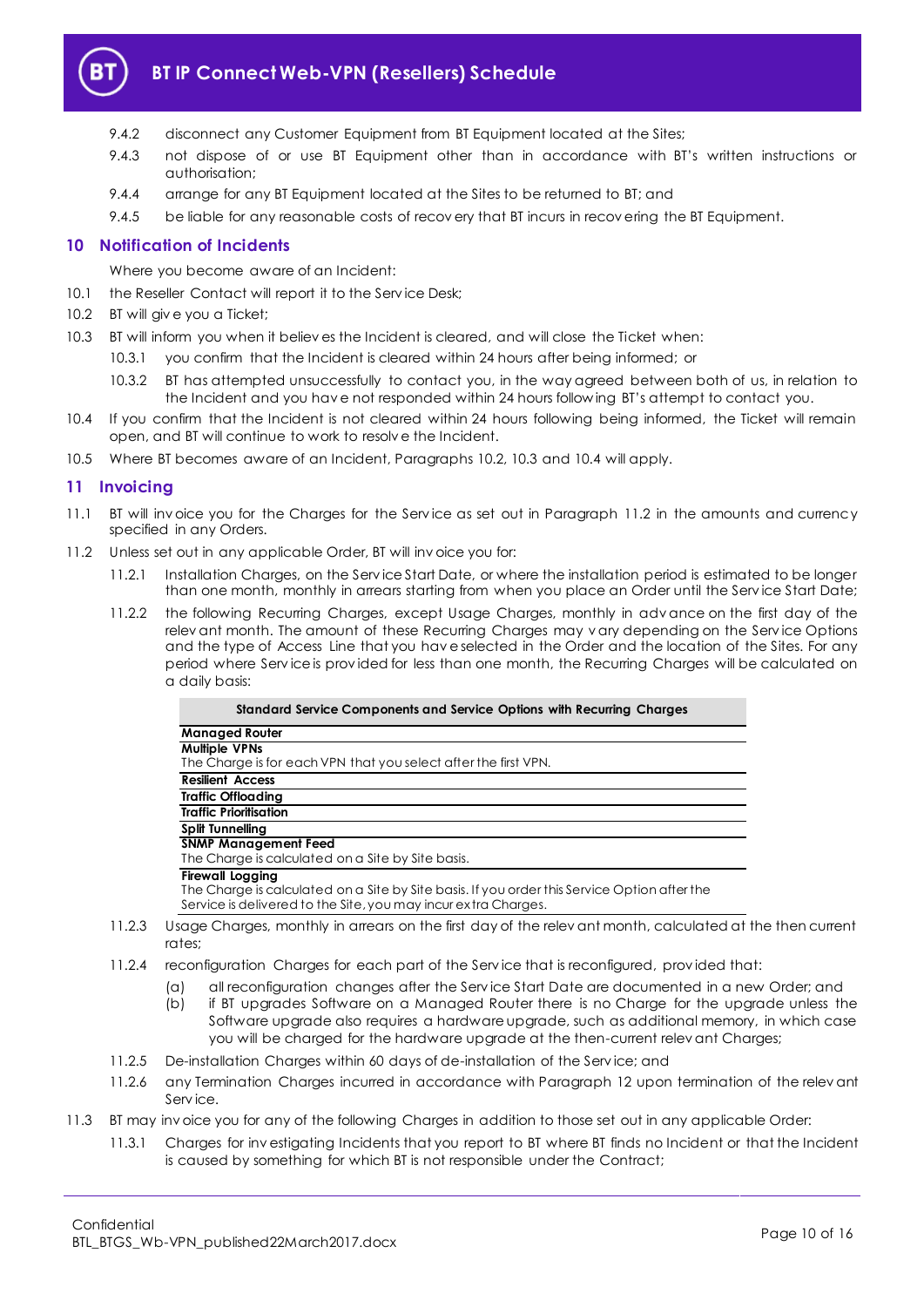

# **BT IP Connect Web-VPN (Resellers) Schedule**

- 9.4.2 disconnect any Customer Equipment from BT Equipment located at the Sites;
- 9.4.3 not dispose of or use BT Equipment other than in accordance with BT's written instructions or authorisation;
- 9.4.4 arrange for any BT Equipment located at the Sites to be returned to BT; and
- 9.4.5 be liable for any reasonable costs of recovery that BT incurs in recovering the BT Equipment.

# <span id="page-9-0"></span>**10 Notification of Incidents**

Where you become aware of an Incident:

- 10.1 the Reseller Contact will report it to the Service Desk;
- <span id="page-9-2"></span>10.2 BT will give you a Ticket;
- <span id="page-9-3"></span>10.3 BT will inform you when it believ es the Incident is cleared, and will close the Ticket when:
	- 10.3.1 you confirm that the Incident is cleared within 24 hours after being informed; or
	- 10.3.2 BT has attempted unsuccessfully to contact you, in the way agreed between both of us, in relation to the Incident and you hav e not responded within 24 hours follow ing BT's attempt to contact you.
- <span id="page-9-4"></span>10.4 If you confirm that the Incident is not cleared within 24 hours following being informed, the Ticket will remain open, and BT will continue to work to resolv e the Incident.
- 10.5 Where BT becomes aware of an Incident, Paragraphs [10.2,](#page-9-2) [10.3](#page-9-3) and [10.4](#page-9-4) will apply.

## <span id="page-9-1"></span>**11 Invoicing**

- 11.1 BT will inv oice you for the Charges for the Serv ice as set out in Paragraph [11.2](#page-9-5) in the amounts and currency specified in any Orders.
- <span id="page-9-5"></span>11.2 Unless set out in any applicable Order, BT will inv oice you for:
	- 11.2.1 Installation Charges, on the Serv ice Start Date, or where the installation period is estimated to be longer than one month, monthly in arrears starting from when you place an Order until the Serv ice Start Date;
	- 11.2.2 the following Recurring Charges, except Usage Charges, monthly in adv ance on the first day of the relev ant month. The amount of these Recurring Charges may v ary depending on the Service Options and the type of Access Line that you hav e selected in the Order and the location of the Sites. For any period where Service is provided for less than one month, the Recurring Charges will be calculated on a daily basis:

| Standard Service Components and Service Options with Recurring Charges                                                                                                                   |  |
|------------------------------------------------------------------------------------------------------------------------------------------------------------------------------------------|--|
| <b>Managed Router</b>                                                                                                                                                                    |  |
| <b>Multiple VPNs</b><br>The Charge is for each VPN that you select after the first VPN.                                                                                                  |  |
| <b>Resilient Access</b>                                                                                                                                                                  |  |
| <b>Traffic Offloading</b>                                                                                                                                                                |  |
| <b>Traffic Prioritisation</b>                                                                                                                                                            |  |
| Split Tunnelling                                                                                                                                                                         |  |
| <b>SNMP Management Feed</b><br>The Charge is calculated on a Site by Site basis.                                                                                                         |  |
| <b>Firewall Logging</b><br>The Charge is calculated on a Site by Site basis. If you order this Service Option after the<br>Service is delivered to the Site, you may incurextra Charges. |  |
| Usage Charges, monthly in arrears on the first day of the relevant month, calculated at the then current                                                                                 |  |

- 11.2.4 reconfiguration Charges for each part of the Serv ice that is reconfigured, prov ided that:
	- (a) all reconfiguration changes after the Serv ice Start Date are documented in a new Order; and
	- (b) if BT upgrades Software on a Managed Router there is no Charge for the upgrade unless the Software upgrade also requires a hardware upgrade, such as additional memory, in which case you will be charged for the hardware upgrade at the then-current relev ant Charges;
- 11.2.5 De-installation Charges within 60 days of de-installation of the Serv ice; and
- 11.2.6 any Termination Charges incurred in accordance with Paragraph [12](#page-10-0) upon termination of the relevant Serv ice.
- 11.3 BT may inv oice you for any of the following Charges in addition to those set out in any applicable Order:
	- 11.3.1 Charges for inv estigating Incidents that you report to BT where BT finds no Incident or that the Incident is caused by something for which BT is not responsible under the Contract;

rates;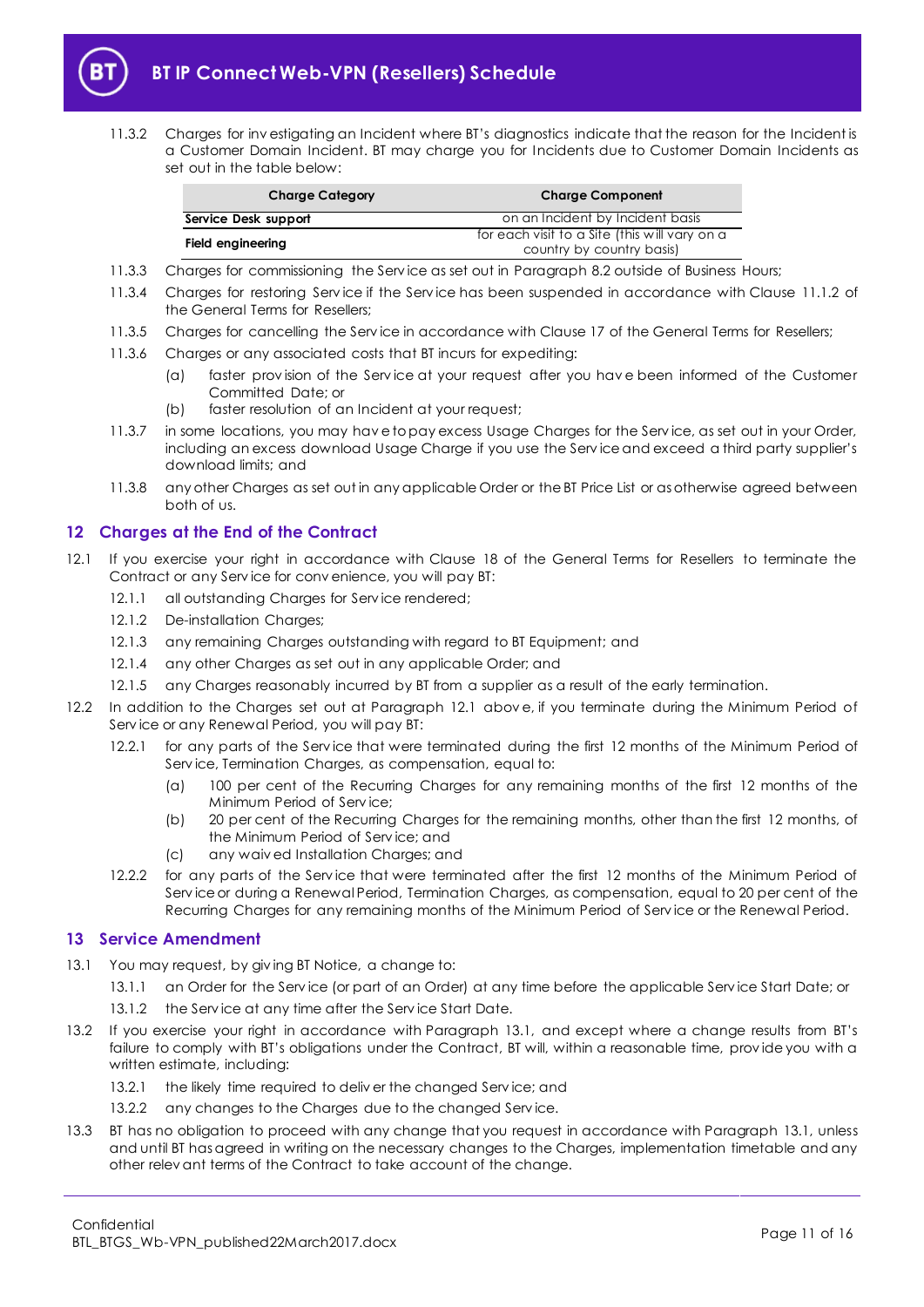

11.3.2 Charges for inv estigating an Incident where BT's diagnostics indicate that the reason for the Incident is a Customer Domain Incident. BT may charge you for Incidents due to Customer Domain Incidents as set out in the table below:

| <b>Charge Category</b> | <b>Charge Component</b>                                                    |  |  |
|------------------------|----------------------------------------------------------------------------|--|--|
| Service Desk support   | on an Incident by Incident basis                                           |  |  |
| Field engineering      | for each visit to a Site (this will vary on a<br>country by country basis) |  |  |

- 11.3.3 Charges for commissioning the Serv ice as set out in Paragrap[h 8.2](#page-6-3) outside of Business Hours;
- 11.3.4 Charges for restoring Serv ice if the Serv ice has been suspended in accordance with Clause 11.1.2 of the General Terms for Resellers;
- 11.3.5 Charges for cancelling the Serv ice in accordance with Clause 17 of the General Terms for Resellers;
- 11.3.6 Charges or any associated costs that BT incurs for expediting:
	- (a) faster prov ision of the Serv ice at your request after you hav e been informed of the Customer Committed Date; or
	- (b) faster resolution of an Incident at your request;
- 11.3.7 in some locations, you may hav e to pay excess Usage Charges for the Serv ice, as set out in your Order, including an excess download Usage Charge if you use the Serv ice and exceed a third party supplier's download limits; and
- 11.3.8 any other Charges as set out in any applicable Order or the BT Price List or as otherwise agreed between both of us.

# <span id="page-10-0"></span>**12 Charges at the End of the Contract**

- <span id="page-10-2"></span>12.1 If you exercise your right in accordance with Clause 18 of the General Terms for Resellers to terminate the Contract or any Serv ice for conv enience, you will pay BT:
	- 12.1.1 all outstanding Charges for Serv ice rendered;
	- 12.1.2 De-installation Charges;
	- 12.1.3 any remaining Charges outstanding with regard to BT Equipment; and
	- 12.1.4 any other Charges as set out in any applicable Order; and
	- 12.1.5 any Charges reasonably incurred by BT from a supplier as a result of the early termination.
- 12.2 In addition to the Charges set out at Paragraph [12.1](#page-10-2) abov e, if you terminate during the Minimum Period of Serv ice or any Renewal Period, you will pay BT:
	- 12.2.1 for any parts of the Serv ice that were terminated during the first 12 months of the Minimum Period of Serv ice, Termination Charges, as compensation, equal to:
		- (a) 100 per cent of the Recurring Charges for any remaining months of the first 12 months of the Minimum Period of Serv ice;
		- (b) 20 per cent of the Recurring Charges for the remaining months, other than the first 12 months, of the Minimum Period of Serv ice; and
		- (c) any waiv ed Installation Charges; and
	- 12.2.2 for any parts of the Service that were terminated after the first 12 months of the Minimum Period of Serv ice or during a Renewal Period, Termination Charges, as compensation, equal to 20 per cent of the Recurring Charges for any remaining months of the Minimum Period of Serv ice or the Renewal Period.

## <span id="page-10-1"></span>**13 Service Amendment**

- <span id="page-10-3"></span>13.1 You may request, by giv ing BT Notice, a change to:
	- 13.1.1 an Order for the Serv ice (or part of an Order) at any time before the applicable Serv ice Start Date; or
	- 13.1.2 the Service at any time after the Service Start Date.
- 13.2 If you exercise your right in accordance with Paragraph [13.1](#page-10-3), and except where a change results from BT's failure to comply with BT's obligations under the Contract, BT will, within a reasonable time, prov ide you with a written estimate, including:
	- 13.2.1 the likely time required to deliver the changed Service; and
	- 13.2.2 any changes to the Charges due to the changed Serv ice.
- 13.3 BT has no obligation to proceed with any change that you request in accordance with Paragraph [13.1,](#page-10-3) unless and until BT has agreed in writing on the necessary changes to the Charges, implementation timetable and any other relev ant terms of the Contract to take account of the change.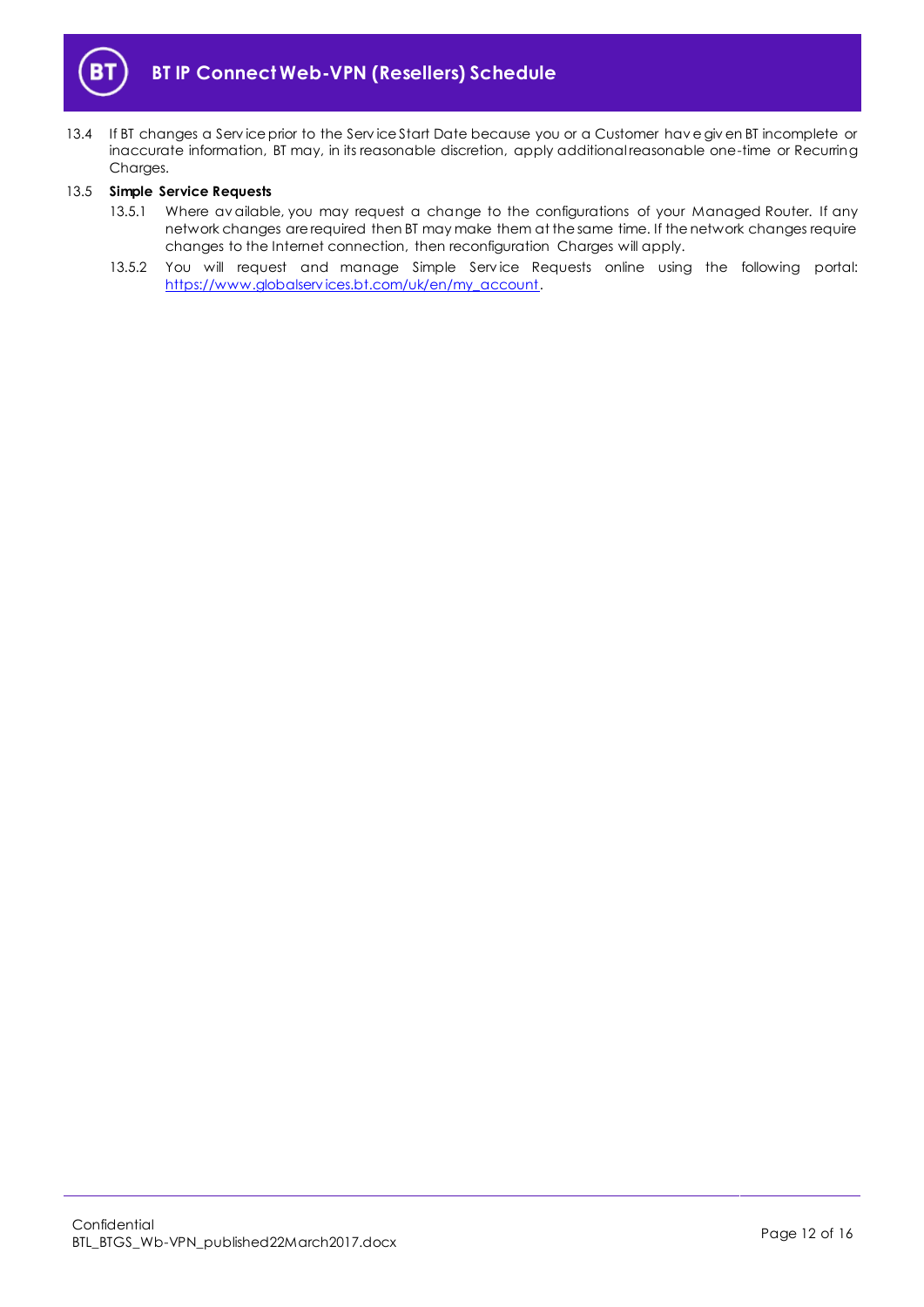

13.4 If BT changes a Serv ice prior to the Serv ice Start Date because you or a Customer hav e giv en BT incomplete or inaccurate information, BT may, in its reasonable discretion, apply additional reasonable one-time or Recurring Charges.

## <span id="page-11-0"></span>13.5 **Simple Service Requests**

- 13.5.1 Where av ailable, you may request a change to the configurations of your Managed Router. If any network changes are required then BT may make them at the same time. If the network changes require changes to the Internet connection, then reconfiguration Charges will apply.
- 13.5.2 You will request and manage Simple Service Requests online using the following portal: [https://www.globalserv ices.bt.com/uk/en/my\\_account.](https://www.globalservices.bt.com/uk/en/my_account)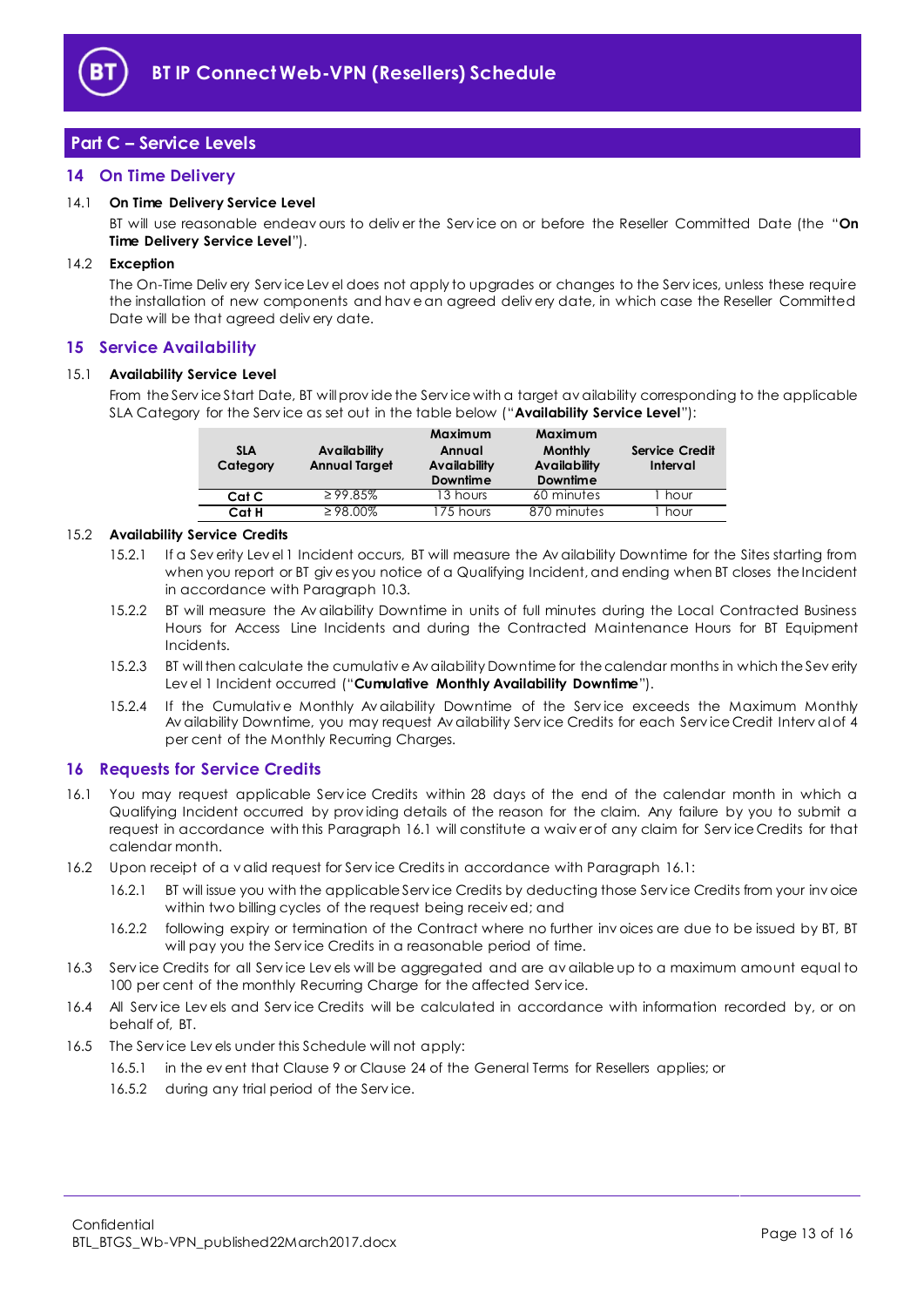

# <span id="page-12-0"></span>**Part C – Service Levels**

# <span id="page-12-1"></span>**14 On Time Delivery**

## <span id="page-12-9"></span>14.1 **On Time Delivery Service Level**

BT will use reasonable endeav ours to deliv er the Serv ice on or before the Reseller Committed Date (the "**On Time Delivery Service Level**").

## 14.2 **Exception**

The On-Time Deliv ery Serv ice Lev el does not apply to upgrades or changes to the Serv ices, unless these require the installation of new components and hav e an agreed deliv ery date, in which case the Reseller Committed Date will be that agreed deliv ery date.

## <span id="page-12-2"></span>**15 Service Availability**

## <span id="page-12-5"></span>15.1 **Availability Service Level**

From the Serv ice Start Date, BT will prov ide the Serv ice with a target av ailability corresponding to the applicable SLA Category for the Serv ice as set out in the table below ("**Availability Service Level**"):

| <b>SLA</b><br>Category | Availability<br><b>Annual Target</b> | Maximum<br>Annual<br>Availability<br><b>Downtime</b> | Maximum<br><b>Monthly</b><br><b>Availability</b><br><b>Downtime</b> | <b>Service Credit</b><br>Interval |
|------------------------|--------------------------------------|------------------------------------------------------|---------------------------------------------------------------------|-----------------------------------|
| Cat C                  | $\geq$ 99.85%                        | 13 hours                                             | 60 minutes                                                          | hour                              |
| Cat H                  | $\geq 98.00\%$                       | 175 hours                                            | 870 minutes                                                         | hour                              |

## <span id="page-12-7"></span><span id="page-12-6"></span>15.2 **Availability Service Credits**

- 15.2.1 If a Sev erity Lev el 1 Incident occurs, BT will measure the Av ailability Downtime for the Sites starting from when you report or BT giv es you notice of a Qualifying Incident, and ending when BT closes the Incident in accordance with Paragrap[h 10.3.](#page-9-3)
- 15.2.2 BT will measure the Av ailability Downtime in units of full minutes during the Local Contracted Business Hours for Access Line Incidents and during the Contracted Maintenance Hours for BT Equipment Incidents.
- <span id="page-12-8"></span>15.2.3 BT will then calculate the cumulativ e Av ailability Downtime for the calendar months in which the Sev erity Lev el 1 Incident occurred ("**Cumulative Monthly Availability Downtime**").
- 15.2.4 If the Cumulative Monthly Av ailability Downtime of the Service exceeds the Maximum Monthly Av ailability Downtime, you may request Av ailability Serv ice Credits for each Serv ice Credit Interv al of 4 per cent of the Monthly Recurring Charges.

## <span id="page-12-3"></span>**16 Requests for Service Credits**

- <span id="page-12-4"></span>16.1 You may request applicable Serv ice Credits within 28 days of the end of the calendar month in which a Qualifying Incident occurred by prov iding details of the reason for the claim. Any failure by you to submit a request in accordance with this Paragraph [16.1](#page-12-4) will constitute a waiv er of any claim for Serv ice Credits for that calendar month.
- 16.2 Upon receipt of a v alid request for Serv ice Credits in accordance with Paragrap[h 16.1:](#page-12-4)
	- 16.2.1 BT will issue you with the applicable Serv ice Credits by deducting those Serv ice Credits from your inv oice within two billing cycles of the request being receiv ed; and
	- 16.2.2 following expiry or termination of the Contract where no further inv oices are due to be issued by BT, BT will pay you the Serv ice Credits in a reasonable period of time.
- 16.3 Serv ice Credits for all Serv ice Lev els will be aggregated and are av ailable up to a maximum amount equal to 100 per cent of the monthly Recurring Charge for the affected Service.
- 16.4 All Serv ice Lev els and Serv ice Credits will be calculated in accordance with information recorded by, or on behalf of, BT.
- 16.5 The Serv ice Lev els under this Schedule will not apply:
	- 16.5.1 in the ev ent that Clause 9 or Clause 24 of the General Terms for Resellers applies; or
	- 16.5.2 during any trial period of the Service.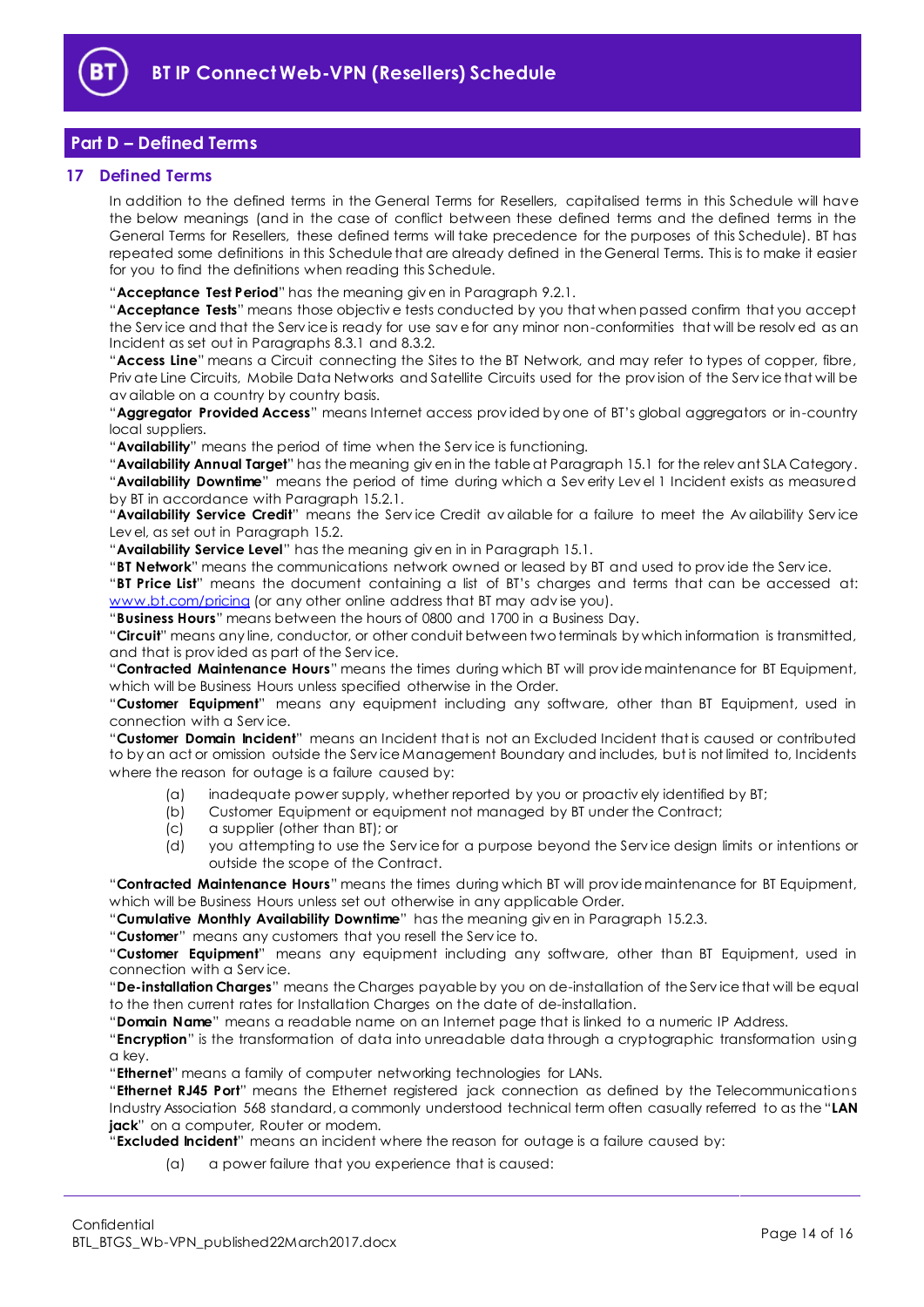

# <span id="page-13-0"></span>**Part D – Defined Terms**

## <span id="page-13-1"></span>**17 Defined Terms**

In addition to the defined terms in the General Terms for Resellers, capitalised terms in this Schedule will have the below meanings (and in the case of conflict between these defined terms and the defined terms in the General Terms for Resellers, these defined terms will take precedence for the purposes of this Schedule). BT has repeated some definitions in this Schedule that are already defined in the General Terms. This is to make it easier for you to find the definitions when reading this Schedule.

"**Acceptance Test Period**" has the meaning giv en in Paragrap[h 9.2.1.](#page-8-3)

"**Acceptance Tests**" means those objectiv e tests conducted by you that when passed confirm that you accept the Serv ice and that the Serv ice is ready for use sav e for any minor non-conformities that will be resolv ed as an Incident as set out in Paragraphs [8.3.1](#page-6-5) and [8.3.2.](#page-6-6)

"**Access Line**" means a Circuit connecting the Sites to the BT Network, and may refer to types of copper, fibre, Priv ate Line Circuits, Mobile Data Networks and Satellite Circuits used for the prov ision of the Serv ice that will be av ailable on a country by country basis.

"**Aggregator Provided Access**" means Internet access prov ided by one of BT's global aggregators or in-country local suppliers.

"**Availability**" means the period of time when the Serv ice is functioning.

"**Availability Annual Target**" has the meaning giv en in the table at Paragraph [15.1](#page-12-5) for the relev ant SLA Category. "**Availability Downtime**" means the period of time during which a Sev erity Lev el 1 Incident exists as measured by BT in accordance with Paragraph [15.2.1.](#page-12-6)

"**Availability Service Credit**" means the Serv ice Credit av ailable for a failure to meet the Av ailability Serv ice Lev el, as set out in Paragraph [15.2.](#page-12-7)

"**Availability Service Level**" has the meaning giv en in in Paragrap[h 15.1.](#page-12-5)

"**BT Network**" means the communications network owned or leased by BT and used to prov ide the Serv ice.

"**BT Price List**" means the document containing a list of BT's charges and terms that can be accessed at: [www.bt.com/pricing](http://www.bt.com/pricing) (or any other online address that BT may advise you).

"**Business Hours**" means between the hours of 0800 and 1700 in a Business Day.

"**Circuit**" means any line, conductor, or other conduit between two terminals by which information is transmitted, and that is prov ided as part of the Serv ice.

"**Contracted Maintenance Hours**" means the times during which BT will prov ide maintenance for BT Equipment, which will be Business Hours unless specified otherwise in the Order.

"**Customer Equipment**" means any equipment including any software, other than BT Equipment, used in connection with a Serv ice.

"**Customer Domain Incident**" means an Incident that is not an Excluded Incident that is caused or contributed to by an act or omission outside the Serv ice Management Boundary and includes, but is not limited to, Incidents where the reason for outage is a failure caused by:

- (a) inadequate power supply, whether reported by you or proactiv ely identified by BT;
- (b) Customer Equipment or equipment not managed by BT under the Contract;<br>(c) a supplier (other than BT); or
- (c) a supplier (other than BT); or
- (d) you attempting to use the Serv ice for a purpose beyond the Serv ice design limits or intentions or outside the scope of the Contract.

"**Contracted Maintenance Hours**" means the times during which BT will prov ide maintenance for BT Equipment, which will be Business Hours unless set out otherwise in any applicable Order.

"**Cumulative Monthly Availability Downtime**" has the meaning giv en in Paragrap[h 15.2.3.](#page-12-8)

"**Customer**" means any customers that you resell the Serv ice to.

"**Customer Equipment**" means any equipment including any software, other than BT Equipment, used in connection with a Serv ice.

"**De-installation Charges**" means the Charges payable by you on de-installation of the Serv ice that will be equal to the then current rates for Installation Charges on the date of de-installation.

"**Domain Name**" means a readable name on an Internet page that is linked to a numeric IP Address.

"**Encryption**" is the transformation of data into unreadable data through a cryptographic transformation using a key.

"**Ethernet**" means a family of computer networking technologies for LANs.

"**Ethernet RJ45 Port**" means the Ethernet registered jack connection as defined by the Telecommunications Industry Association 568 standard, a commonly understood technical term often casually referred to as the "**LAN jack**" on a computer, Router or modem.

"**Excluded Incident**" means an incident where the reason for outage is a failure caused by:

(a) a power failure that you experience that is caused: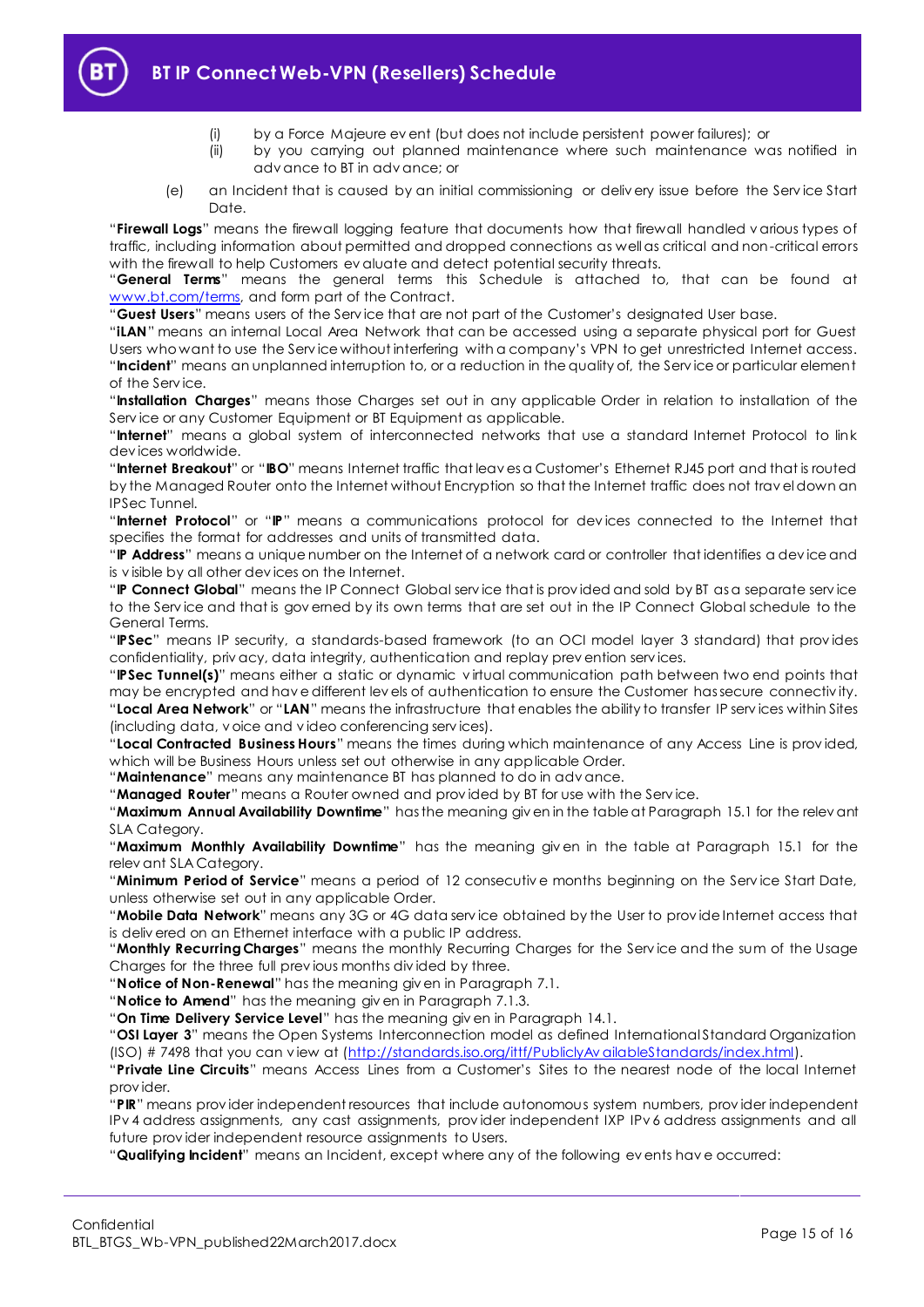

- (i) by a Force Majeure ev ent (but does not include persistent power failures); or
- (ii) by you carrying out planned maintenance where such maintenance was notified in adv ance to BT in adv ance; or
- (e) an Incident that is caused by an initial commissioning or deliv ery issue before the Serv ice Start Date.

"**Firewall Logs**" means the firewall logging feature that documents how that firewall handled v arious types of traffic, including information about permitted and dropped connections as well as critical and non-critical errors with the firewall to help Customers ev aluate and detect potential security threats.

"**General Terms**" means the general terms this Schedule is attached to, that can be found at [www.bt.com/terms,](http://www.bt.com/terms) and form part of the Contract.

"**Guest Users**" means users of the Serv ice that are not part of the Customer's designated User base.

"**iLAN**" means an internal Local Area Network that can be accessed using a separate physical port for Guest Users who want to use the Serv ice without interfering with a company's VPN to get unrestricted Internet access. "**Incident**" means an unplanned interruption to, or a reduction in the quality of, the Serv ice or particular element of the Serv ice.

"**Installation Charges**" means those Charges set out in any applicable Order in relation to installation of the Serv ice or any Customer Equipment or BT Equipment as applicable.

"**Internet**" means a global system of interconnected networks that use a standard Internet Protocol to link dev ices worldwide.

"**Internet Breakout**" or "**IBO**" means Internet traffic that leav es a Customer's Ethernet RJ45 port and that is routed by the Managed Router onto the Internet without Encryption so that the Internet traffic does not trav el down an IPSec Tunnel.

"**Internet Protocol**" or "**IP**" means a communications protocol for dev ices connected to the Internet that specifies the format for addresses and units of transmitted data.

"**IP Address**" means a unique number on the Internet of a network card or controller that identifies a dev ice and is v isible by all other dev ices on the Internet.

"**IP Connect Global**" means the IP Connect Global serv ice that is prov ided and sold by BT as a separate serv ice to the Serv ice and that is gov erned by its own terms that are set out in the IP Connect Global schedule to the General Terms.

"**IPSec**" means IP security, a standards-based framework (to an OCI model layer 3 standard) that prov ides confidentiality, priv acy, data integrity, authentication and replay prev ention serv ices.

"**IPSec Tunnel(s)**" means either a static or dynamic v irtual communication path between two end points that may be encrypted and hav e different lev els of authentication to ensure the Customer has secure connectiv ity. "**Local Area Network**" or "**LAN**" means the infrastructure that enables the ability to transfer IP serv ices within Sites (including data, v oice and v ideo conferencing serv ices).

"**Local Contracted Business Hours**" means the times during which maintenance of any Access Line is prov ided, which will be Business Hours unless set out otherwise in any applicable Order.

"**Maintenance**" means any maintenance BT has planned to do in adv ance.

"**Managed Router**" means a Router owned and prov ided by BT for use with the Serv ice.

"**Maximum Annual Availability Downtime**" has the meaning giv en in the table at Paragraph [15.1](#page-12-5) for the relev ant SLA Category.

"**Maximum Monthly Availability Downtime**" has the meaning giv en in the table at Paragraph [15.1](#page-12-5) for the relev ant SLA Category.

"**Minimum Period of Service**" means a period of 12 consecutiv e months beginning on the Serv ice Start Date, unless otherwise set out in any applicable Order.

"**Mobile Data Network**" means any 3G or 4G data serv ice obtained by the User to prov ide Internet access that is deliv ered on an Ethernet interface with a public IP address.

"**Monthly Recurring Charges**" means the monthly Recurring Charges for the Serv ice and the sum of the Usage Charges for the three full prev ious months div ided by three.

"**Notice of Non-Renewal**" has the meaning giv en in Paragrap[h 7.1.](#page-3-3)

"**Notice to Amend**" has the meaning giv en in Paragraph [7.1.3.](#page-4-2)

"**On Time Delivery Service Level**" has the meaning giv en in Paragrap[h 14.1.](#page-12-9)

"**OSI Layer 3**" means the Open Systems Interconnection model as defined International Standard Organization (ISO) # 7498 that you can v iew at [\(http://standards.iso.org/ittf/PubliclyAv ailableStandards/index.html\)](http://standards.iso.org/ittf/PubliclyAvailableStandards/index.html).

"**Private Line Circuits**" means Access Lines from a Customer's Sites to the nearest node of the local Internet prov ider.

"**PIR**" means prov ider independent resources that include autonomous system numbers, prov ider independent IPv 4 address assignments, any cast assignments, prov ider independent IXP IPv 6 address assignments and all future prov ider independent resource assignments to Users.

"**Qualifying Incident**" means an Incident, except where any of the following ev ents hav e occurred: